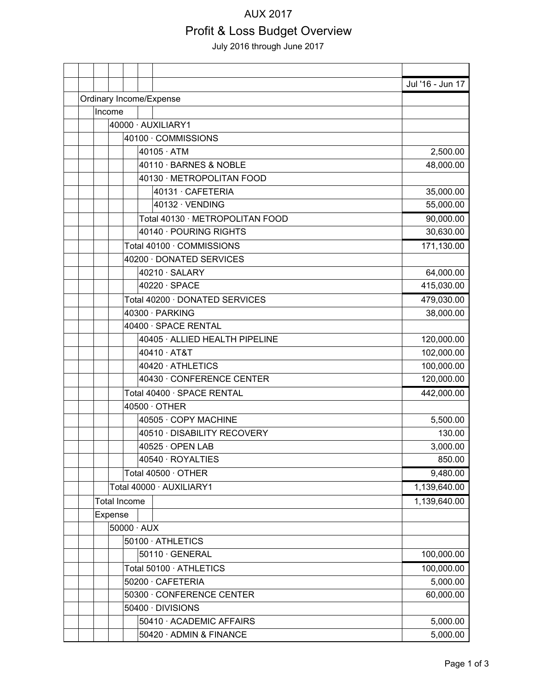#### AUX 2017

# Profit & Loss Budget Overview

July 2016 through June 2017

|                         |  |                     |                          |  |                                 | Jul '16 - Jun 17 |
|-------------------------|--|---------------------|--------------------------|--|---------------------------------|------------------|
| Ordinary Income/Expense |  |                     |                          |  |                                 |                  |
|                         |  | Income              |                          |  |                                 |                  |
|                         |  |                     |                          |  | 40000 · AUXILIARY1              |                  |
|                         |  | 40100 · COMMISSIONS |                          |  |                                 |                  |
|                         |  |                     |                          |  | $40105 \cdot ATM$               | 2,500.00         |
|                         |  |                     |                          |  | 40110 · BARNES & NOBLE          | 48,000.00        |
|                         |  |                     |                          |  | 40130 · METROPOLITAN FOOD       |                  |
|                         |  |                     |                          |  | 40131 · CAFETERIA               | 35,000.00        |
|                         |  |                     |                          |  | 40132 · VENDING                 | 55,000.00        |
|                         |  |                     |                          |  | Total 40130 · METROPOLITAN FOOD | 90,000.00        |
|                         |  |                     |                          |  | 40140 · POURING RIGHTS          | 30,630.00        |
|                         |  |                     |                          |  | Total 40100 · COMMISSIONS       | 171,130.00       |
|                         |  |                     |                          |  | 40200 · DONATED SERVICES        |                  |
|                         |  |                     |                          |  | 40210 · SALARY                  | 64,000.00        |
|                         |  |                     |                          |  | 40220 · SPACE                   | 415,030.00       |
|                         |  |                     |                          |  | Total 40200 · DONATED SERVICES  | 479,030.00       |
|                         |  |                     |                          |  | 40300 · PARKING                 | 38,000.00        |
|                         |  |                     |                          |  | 40400 · SPACE RENTAL            |                  |
|                         |  |                     |                          |  | 40405 · ALLIED HEALTH PIPELINE  | 120,000.00       |
|                         |  |                     |                          |  | 40410 · AT&T                    | 102,000.00       |
|                         |  |                     |                          |  | 40420 · ATHLETICS               | 100,000.00       |
|                         |  |                     |                          |  | 40430 · CONFERENCE CENTER       | 120,000.00       |
|                         |  |                     |                          |  | Total 40400 · SPACE RENTAL      | 442,000.00       |
|                         |  |                     |                          |  | $40500 \cdot$ OTHER             |                  |
|                         |  |                     |                          |  | 40505 · COPY MACHINE            | 5,500.00         |
|                         |  |                     |                          |  | 40510 · DISABILITY RECOVERY     | 130.00           |
|                         |  |                     |                          |  | 40525 · OPEN LAB                | 3,000.00         |
|                         |  |                     |                          |  | 40540 · ROYALTIES               | 850.00           |
|                         |  |                     |                          |  | Total 40500 · OTHER             | 9,480.00         |
|                         |  |                     |                          |  | Total 40000 · AUXILIARY1        | 1,139,640.00     |
|                         |  | <b>Total Income</b> |                          |  |                                 | 1,139,640.00     |
|                         |  | Expense             |                          |  |                                 |                  |
|                         |  |                     | $50000 \cdot \text{AUX}$ |  |                                 |                  |
|                         |  |                     |                          |  | 50100 · ATHLETICS               |                  |
|                         |  |                     |                          |  | 50110 · GENERAL                 | 100,000.00       |
|                         |  |                     |                          |  | Total 50100 · ATHLETICS         | 100,000.00       |
|                         |  |                     |                          |  | 50200 · CAFETERIA               | 5,000.00         |
|                         |  |                     |                          |  | 50300 · CONFERENCE CENTER       | 60,000.00        |
|                         |  |                     |                          |  | 50400 · DIVISIONS               |                  |
|                         |  |                     |                          |  | 50410 · ACADEMIC AFFAIRS        | 5,000.00         |
|                         |  |                     |                          |  | 50420 · ADMIN & FINANCE         | 5,000.00         |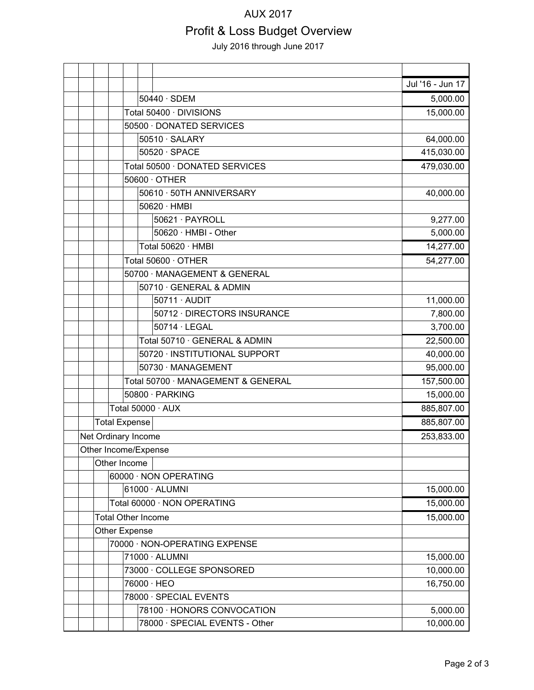#### AUX 2017

# Profit & Loss Budget Overview

July 2016 through June 2017

|  |                     |                              |                                    |                                | Jul '16 - Jun 17 |  |  |  |
|--|---------------------|------------------------------|------------------------------------|--------------------------------|------------------|--|--|--|
|  |                     |                              |                                    | $50440 \cdot SDEM$             | 5,000.00         |  |  |  |
|  |                     |                              |                                    | Total 50400 · DIVISIONS        | 15,000.00        |  |  |  |
|  |                     |                              | 50500 · DONATED SERVICES           |                                |                  |  |  |  |
|  |                     |                              | $50510 \cdot \text{SALARY}$        | 64,000.00                      |                  |  |  |  |
|  |                     |                              |                                    | $50520 \cdot SPACE$            | 415,030.00       |  |  |  |
|  |                     |                              | Total 50500 · DONATED SERVICES     | 479,030.00                     |                  |  |  |  |
|  |                     |                              | $50600 \cdot$ OTHER                |                                |                  |  |  |  |
|  |                     |                              | 50610 · 50TH ANNIVERSARY           | 40,000.00                      |                  |  |  |  |
|  |                     |                              |                                    | 50620 · HMBI                   |                  |  |  |  |
|  |                     |                              |                                    | 50621 · PAYROLL                | 9,277.00         |  |  |  |
|  |                     |                              |                                    | 50620 · HMBI - Other           | 5,000.00         |  |  |  |
|  |                     |                              |                                    | Total 50620 · HMBI             | 14,277.00        |  |  |  |
|  |                     | Total 50600 · OTHER          | 54,277.00                          |                                |                  |  |  |  |
|  |                     | 50700 · MANAGEMENT & GENERAL |                                    |                                |                  |  |  |  |
|  |                     |                              |                                    | 50710 · GENERAL & ADMIN        |                  |  |  |  |
|  |                     |                              |                                    | 50711 · AUDIT                  | 11,000.00        |  |  |  |
|  |                     |                              |                                    | 50712 · DIRECTORS INSURANCE    | 7,800.00         |  |  |  |
|  |                     |                              |                                    | $50714 \cdot$ LEGAL            | 3,700.00         |  |  |  |
|  |                     |                              |                                    | Total 50710 · GENERAL & ADMIN  | 22,500.00        |  |  |  |
|  |                     |                              |                                    | 50720 · INSTITUTIONAL SUPPORT  | 40,000.00        |  |  |  |
|  |                     |                              |                                    | 50730 · MANAGEMENT             | 95,000.00        |  |  |  |
|  |                     |                              | Total 50700 · MANAGEMENT & GENERAL | 157,500.00<br>15,000.00        |                  |  |  |  |
|  |                     |                              | 50800 · PARKING                    |                                |                  |  |  |  |
|  |                     |                              | Total 50000 · AUX                  |                                |                  |  |  |  |
|  |                     | <b>Total Expense</b>         | 885,807.00                         |                                |                  |  |  |  |
|  | Net Ordinary Income | 253,833.00                   |                                    |                                |                  |  |  |  |
|  |                     | Other Income/Expense         |                                    |                                |                  |  |  |  |
|  |                     | Other Income                 |                                    |                                |                  |  |  |  |
|  |                     |                              |                                    | 60000 · NON OPERATING          | 15,000.00        |  |  |  |
|  |                     |                              | 61000 · ALUMNI                     |                                |                  |  |  |  |
|  |                     |                              | Total 60000 · NON OPERATING        |                                |                  |  |  |  |
|  |                     | <b>Total Other Income</b>    |                                    |                                | 15,000.00        |  |  |  |
|  |                     | Other Expense                |                                    |                                |                  |  |  |  |
|  |                     |                              | 70000 · NON-OPERATING EXPENSE      |                                |                  |  |  |  |
|  |                     |                              | 71000 · ALUMNI                     |                                |                  |  |  |  |
|  |                     |                              | 73000 · COLLEGE SPONSORED          | 10,000.00<br>16,750.00         |                  |  |  |  |
|  |                     |                              | 76000 · HEO                        |                                |                  |  |  |  |
|  |                     | 78000 · SPECIAL EVENTS       |                                    |                                |                  |  |  |  |
|  |                     |                              |                                    | 78100 · HONORS CONVOCATION     | 5,000.00         |  |  |  |
|  |                     |                              |                                    | 78000 · SPECIAL EVENTS - Other | 10,000.00        |  |  |  |